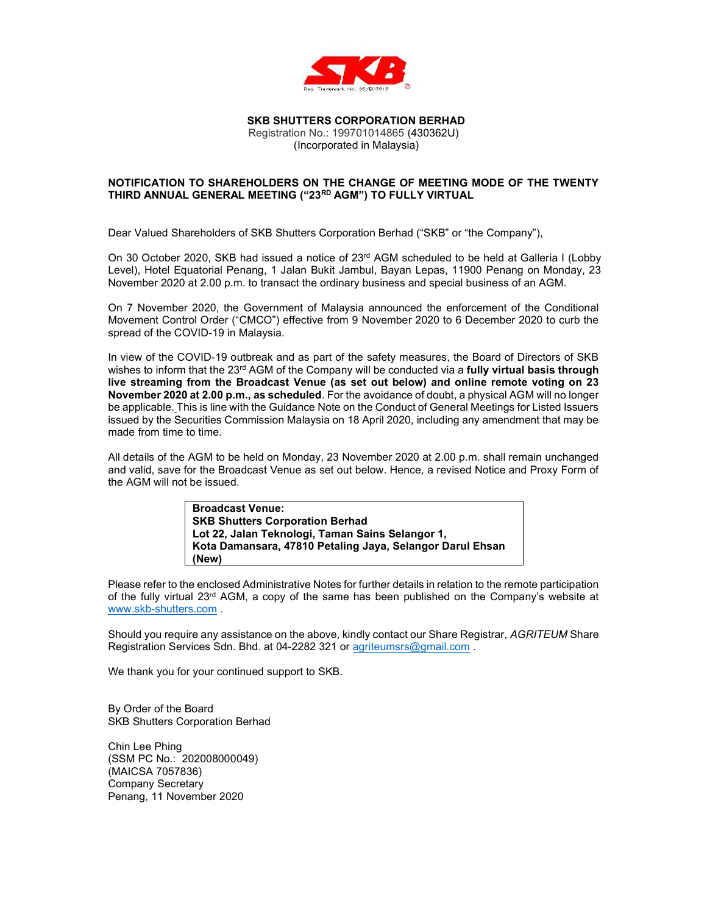

# SKB SHUTTERS CORPORATION BERHAD

Registration No.: 199701014865 (430362U) (Incorporated in Malaysia)

#### NOTIFICATION TO SHAREHOLDERS ON THE CHANGE OF MEETING MODE OF THE TWENTY THIRD ANNUAL GENERAL MEETING ("23RD AGM") TO FULLY VIRTUAL

Dear Valued Shareholders of SKB Shutters Corporation Berhad ("SKB" or "the Company"),

On 30 October 2020, SKB had issued a notice of 23<sup>rd</sup> AGM scheduled to be held at Galleria I (Lobby Level), Hotel Equatorial Penang, 1 Jalan Bukit Jambul, Bayan Lepas, 11900 Penang on Monday, 23 November 2020 at 2.00 p.m. to transact the ordinary business and special business of an AGM.

On 7 November 2020, the Government of Malaysia announced the enforcement of the Conditional Movement Control Order ("CMCO") effective from 9 November 2020 to 6 December 2020 to curb the spread of the COVID-19 in Malaysia.

In view of the COVID-19 outbreak and as part of the safety measures, the Board of Directors of SKB wishes to inform that the 23<sup>rd</sup> AGM of the Company will be conducted via a **fully virtual basis through** live streaming from the Broadcast Venue (as set out below) and online remote voting on 23 November 2020 at 2.00 p.m., as scheduled. For the avoidance of doubt, a physical AGM will no longer be applicable. This is line with the Guidance Note on the Conduct of General Meetings for Listed Issuers issued by the Securities Commission Malaysia on 18 April 2020, including any amendment that may be made from time to time.

All details of the AGM to be held on Monday, 23 November 2020 at 2.00 p.m. shall remain unchanged and valid, save for the Broadcast Venue as set out below. Hence, a revised Notice and Proxy Form of the AGM will not be issued.

> Broadcast Venue: SKB Shutters Corporation Berhad Lot 22, Jalan Teknologi, Taman Sains Selangor 1, Kota Damansara, 47810 Petaling Jaya, Selangor Darul Ehsan (New)

Please refer to the enclosed Administrative Notes for further details in relation to the remote participation of the fully virtual  $23<sup>rd</sup>$  AGM, a copy of the same has been published on the Company's website at www.skb-shutters.com .

Should you require any assistance on the above, kindly contact our Share Registrar, AGRITEUM Share Registration Services Sdn. Bhd. at 04-2282 321 or agriteumsrs@gmail.com .

We thank you for your continued support to SKB.

By Order of the Board SKB Shutters Corporation Berhad

Chin Lee Phing (SSM PC No.: 202008000049) (MAICSA 7057836) Company Secretary Penang, 11 November 2020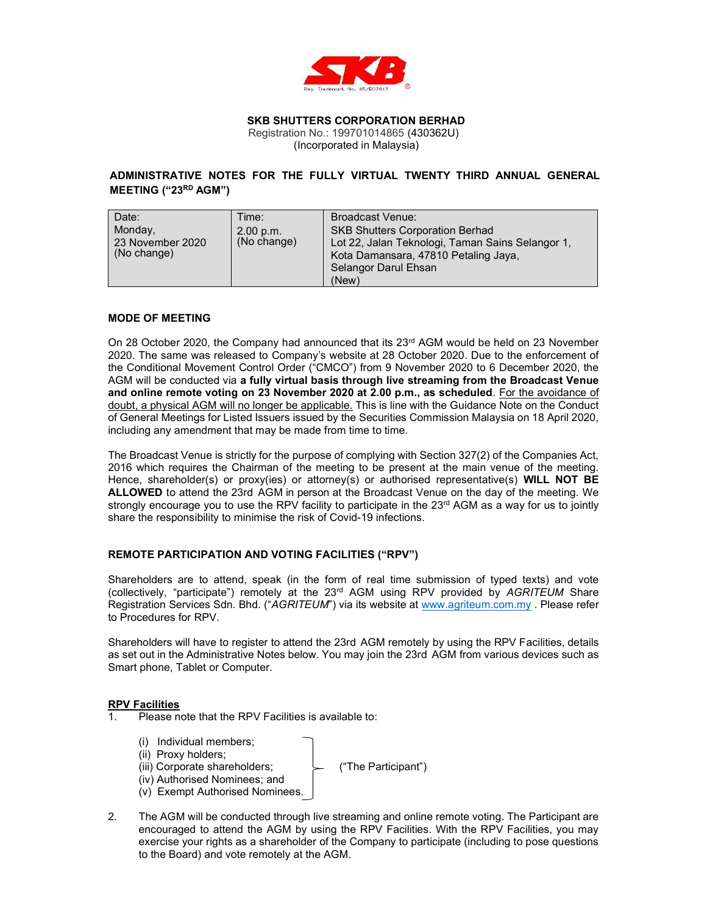

#### SKB SHUTTERS CORPORATION BERHAD Registration No.: 199701014865 (430362U)

(Incorporated in Malaysia)

# ADMINISTRATIVE NOTES FOR THE FULLY VIRTUAL TWENTY THIRD ANNUAL GENERAL MEETING ("23RD AGM")

| Date:<br>Monday,<br>23 November 2020<br>(No change) | Time:<br>2.00 p.m.<br>(No change) | <b>Broadcast Venue:</b><br><b>SKB Shutters Corporation Berhad</b><br>Lot 22, Jalan Teknologi, Taman Sains Selangor 1,<br>Kota Damansara, 47810 Petaling Jaya,<br>Selangor Darul Ehsan |
|-----------------------------------------------------|-----------------------------------|---------------------------------------------------------------------------------------------------------------------------------------------------------------------------------------|
|                                                     |                                   | (New)                                                                                                                                                                                 |

#### MODE OF MEETING

On 28 October 2020, the Company had announced that its 23<sup>rd</sup> AGM would be held on 23 November 2020. The same was released to Company's website at 28 October 2020. Due to the enforcement of the Conditional Movement Control Order ("CMCO") from 9 November 2020 to 6 December 2020, the AGM will be conducted via a fully virtual basis through live streaming from the Broadcast Venue and online remote voting on 23 November 2020 at 2.00 p.m., as scheduled. For the avoidance of doubt, a physical AGM will no longer be applicable. This is line with the Guidance Note on the Conduct of General Meetings for Listed Issuers issued by the Securities Commission Malaysia on 18 April 2020, including any amendment that may be made from time to time.

The Broadcast Venue is strictly for the purpose of complying with Section 327(2) of the Companies Act, 2016 which requires the Chairman of the meeting to be present at the main venue of the meeting. Hence, shareholder(s) or proxy(ies) or attorney(s) or authorised representative(s) WILL NOT BE ALLOWED to attend the 23rd AGM in person at the Broadcast Venue on the day of the meeting. We strongly encourage you to use the RPV facility to participate in the 23<sup>rd</sup> AGM as a way for us to jointly share the responsibility to minimise the risk of Covid-19 infections.

# REMOTE PARTICIPATION AND VOTING FACILITIES ("RPV")

Shareholders are to attend, speak (in the form of real time submission of typed texts) and vote (collectively, "participate") remotely at the 23<sup>rd</sup> AGM using RPV provided by AGRITEUM Share Registration Services Sdn. Bhd. ("AGRITEUM") via its website at www.agriteum.com.my . Please refer to Procedures for RPV.

Shareholders will have to register to attend the 23rd AGM remotely by using the RPV Facilities, details as set out in the Administrative Notes below. You may join the 23rd AGM from various devices such as Smart phone, Tablet or Computer.

#### RPV Facilities

- 1. Please note that the RPV Facilities is available to:
	- (i) Individual members;
	- (ii) Proxy holders;
	- (iii) Corporate shareholders; ("The Participant")

- (iv) Authorised Nominees; and (v) Exempt Authorised Nominees.
- 2. The AGM will be conducted through live streaming and online remote voting. The Participant are encouraged to attend the AGM by using the RPV Facilities. With the RPV Facilities, you may exercise your rights as a shareholder of the Company to participate (including to pose questions to the Board) and vote remotely at the AGM.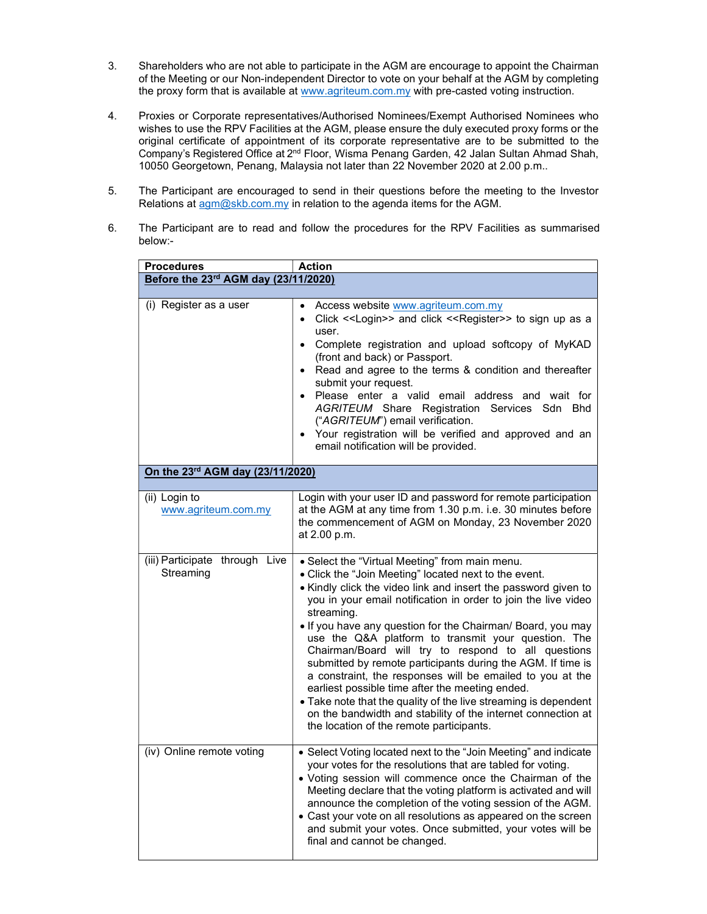- 3. Shareholders who are not able to participate in the AGM are encourage to appoint the Chairman of the Meeting or our Non-independent Director to vote on your behalf at the AGM by completing the proxy form that is available at www.agriteum.com.my with pre-casted voting instruction.
- 4. Proxies or Corporate representatives/Authorised Nominees/Exempt Authorised Nominees who wishes to use the RPV Facilities at the AGM, please ensure the duly executed proxy forms or the original certificate of appointment of its corporate representative are to be submitted to the Company's Registered Office at 2<sup>nd</sup> Floor, Wisma Penang Garden, 42 Jalan Sultan Ahmad Shah, 10050 Georgetown, Penang, Malaysia not later than 22 November 2020 at 2.00 p.m..
- 5. The Participant are encouraged to send in their questions before the meeting to the Investor Relations at agm@skb.com.my in relation to the agenda items for the AGM.
- 6. The Participant are to read and follow the procedures for the RPV Facilities as summarised below:-

| <b>Action</b><br><b>Procedures</b>          |                                                                                                                                                                                                                                                                                                                                                                                                                                                                                                                                                                                                                                                                                                                                                                                                      |  |  |
|---------------------------------------------|------------------------------------------------------------------------------------------------------------------------------------------------------------------------------------------------------------------------------------------------------------------------------------------------------------------------------------------------------------------------------------------------------------------------------------------------------------------------------------------------------------------------------------------------------------------------------------------------------------------------------------------------------------------------------------------------------------------------------------------------------------------------------------------------------|--|--|
| Before the 23rd AGM day (23/11/2020)        |                                                                                                                                                                                                                                                                                                                                                                                                                                                                                                                                                                                                                                                                                                                                                                                                      |  |  |
|                                             |                                                                                                                                                                                                                                                                                                                                                                                                                                                                                                                                                                                                                                                                                                                                                                                                      |  |  |
| (i) Register as a user                      | Access website www.agriteum.com.my<br>Click << Login>> and click << Register>> to sign up as a<br>$\bullet$<br>user.<br>• Complete registration and upload softcopy of MyKAD<br>(front and back) or Passport.<br>• Read and agree to the terms & condition and thereafter<br>submit your request.<br>· Please enter a valid email address and wait for<br>AGRITEUM Share Registration Services Sdn Bhd<br>("AGRITEUM") email verification.<br>Your registration will be verified and approved and an<br>email notification will be provided.                                                                                                                                                                                                                                                         |  |  |
| On the 23rd AGM day (23/11/2020)            |                                                                                                                                                                                                                                                                                                                                                                                                                                                                                                                                                                                                                                                                                                                                                                                                      |  |  |
| (ii) Login to<br>www.agriteum.com.my        | Login with your user ID and password for remote participation<br>at the AGM at any time from 1.30 p.m. i.e. 30 minutes before<br>the commencement of AGM on Monday, 23 November 2020<br>at 2.00 p.m.                                                                                                                                                                                                                                                                                                                                                                                                                                                                                                                                                                                                 |  |  |
| (iii) Participate through Live<br>Streaming | • Select the "Virtual Meeting" from main menu.<br>• Click the "Join Meeting" located next to the event.<br>• Kindly click the video link and insert the password given to<br>you in your email notification in order to join the live video<br>streaming.<br>. If you have any question for the Chairman/ Board, you may<br>use the Q&A platform to transmit your question. The<br>Chairman/Board will try to respond to all questions<br>submitted by remote participants during the AGM. If time is<br>a constraint, the responses will be emailed to you at the<br>earliest possible time after the meeting ended.<br>• Take note that the quality of the live streaming is dependent<br>on the bandwidth and stability of the internet connection at<br>the location of the remote participants. |  |  |
| (iv) Online remote voting                   | • Select Voting located next to the "Join Meeting" and indicate<br>your votes for the resolutions that are tabled for voting.<br>. Voting session will commence once the Chairman of the<br>Meeting declare that the voting platform is activated and will<br>announce the completion of the voting session of the AGM.<br>• Cast your vote on all resolutions as appeared on the screen<br>and submit your votes. Once submitted, your votes will be<br>final and cannot be changed.                                                                                                                                                                                                                                                                                                                |  |  |